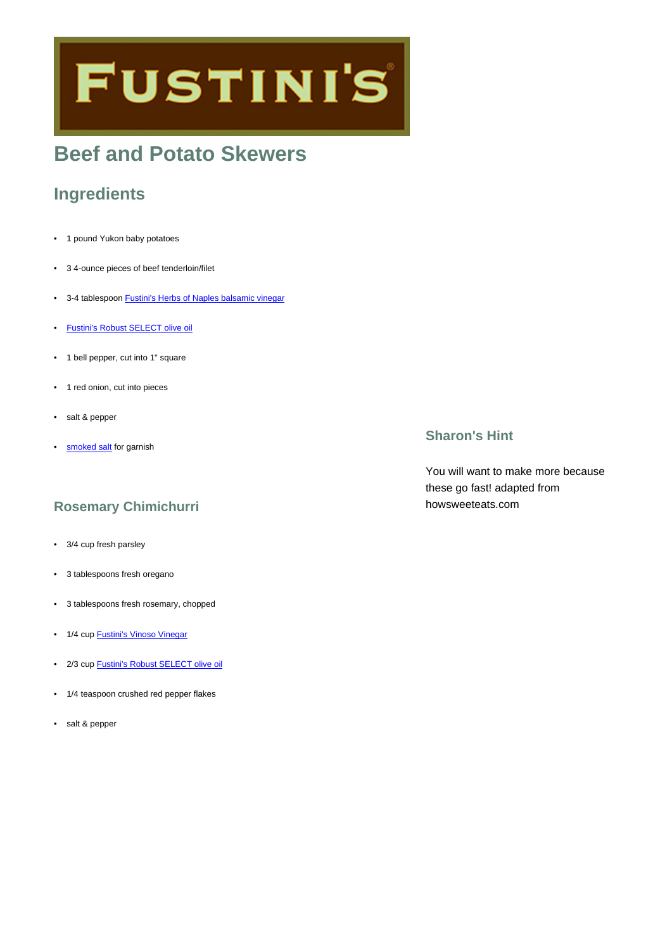# **FUSTINI'S**

## **Beef and Potato Skewers**

## **Ingredients**

- 1 pound Yukon baby potatoes
- 3 4-ounce pieces of beef tenderloin/filet
- 3-4 tablespoon [Fustini's Herbs of Naples balsamic vinegar](https://www.fustinis.com/order/herbs-of-naples-dark_291/)
- [Fustini's Robust SELECT olive oil](https://www.fustinis.com/order/category/oils/extra-virgin-olive-oils/robust_10/)
- 1 bell pepper, cut into 1" square
- 1 red onion, cut into pieces
- salt & pepper
- [smoked salt](https://www.fustinis.com/order/alderwood-smoked-sea-salt_2092/) for garnish

## **Rosemary Chimichurri**

- 3/4 cup fresh parsley
- 3 tablespoons fresh oregano
- 3 tablespoons fresh rosemary, chopped
- 1/4 cup **[Fustini's Vinoso Vinegar](https://www.fustinis.com/order/vinoso_447/)**
- 2/3 cup **[Fustini's Robust SELECT olive oil](https://www.fustinis.com/order/category/oils/extra-virgin-olive-oils/robust_10/)**
- 1/4 teaspoon crushed red pepper flakes
- salt & pepper

## **Sharon's Hint**

You will want to make more because these go fast! adapted from howsweeteats.com